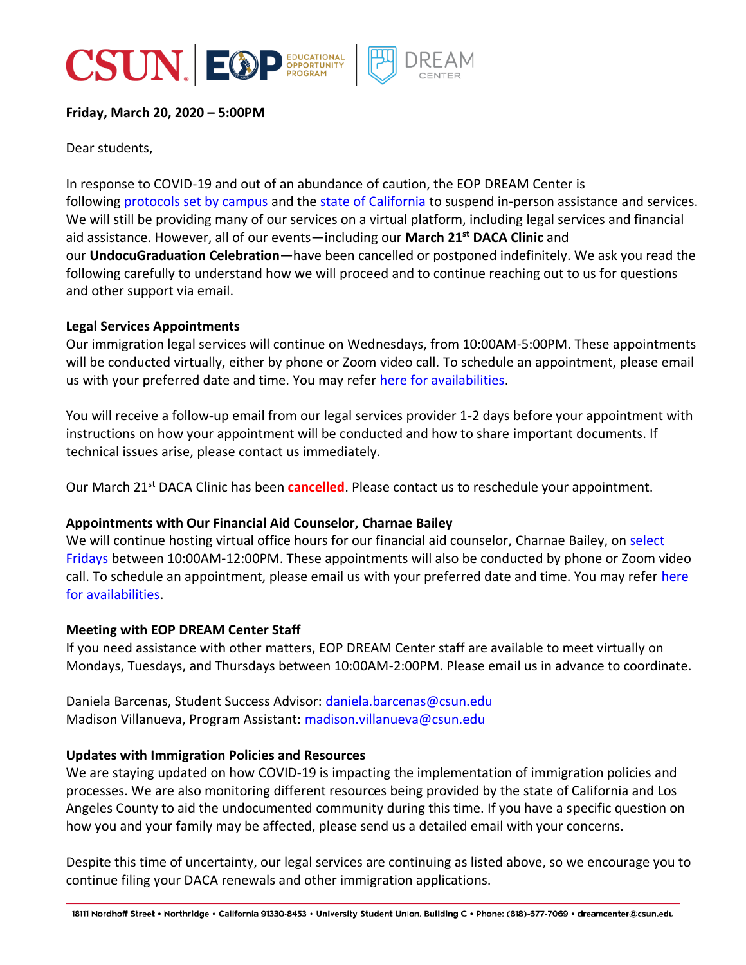

# **Friday, March 20, 2020 – 5:00PM**

Dear students,

In response to COVID-19 and out of an abundance of caution, the EOP DREAM Center is following [protocols set by campus](https://www.csun.edu/president/accelerating-virtual-instruction-and-social-distancing-students-and-employees) and the [state of California](https://covid19.ca.gov/) to suspend in-person assistance and services. We will still be providing many of our services on a virtual platform, including legal services and financial aid assistance. However, all of our events—including our **March 21st DACA Clinic** and our **UndocuGraduation Celebration**—have been cancelled or postponed indefinitely. We ask you read the following carefully to understand how we will proceed and to continue reaching out to us for questions and other support via email.

### **Legal Services Appointments**

Our immigration legal services will continue on Wednesdays, from 10:00AM-5:00PM. These appointments will be conducted virtually, either by phone or Zoom video call. To schedule an appointment, please email us with your preferred date and time. You may refer [here for availabilities.](https://bit.ly/dclegalapptSP20)

You will receive a follow-up email from our legal services provider 1-2 days before your appointment with instructions on how your appointment will be conducted and how to share important documents. If technical issues arise, please contact us immediately.

Our March 21st DACA Clinic has been **cancelled**. Please contact us to reschedule your appointment.

### **Appointments with Our Financial Aid Counselor, Charnae Bailey**

We will continue hosting virtual office hours for our financial aid counselor, Charnae Bailey, on [select](https://bit.ly/dcfinaidSP20)  [Fridays](https://bit.ly/dcfinaidSP20) between 10:00AM-12:00PM. These appointments will also be conducted by phone or Zoom video call. To schedule an appointment, please email us with your preferred date and time. You may refer [here](https://bit.ly/dcfinaidSP20)  [for availabilities.](https://bit.ly/dcfinaidSP20)

#### **Meeting with EOP DREAM Center Staff**

If you need assistance with other matters, EOP DREAM Center staff are available to meet virtually on Mondays, Tuesdays, and Thursdays between 10:00AM-2:00PM. Please email us in advance to coordinate.

Daniela Barcenas, Student Success Advisor: [daniela.barcenas@csun.edu](mailto:daniela.barcenas@csun.edu) Madison Villanueva, Program Assistant: [madison.villanueva@csun.edu](mailto:madison.villanueva@csun.edu)

#### **Updates with Immigration Policies and Resources**

We are staying updated on how COVID-19 is impacting the implementation of immigration policies and processes. We are also monitoring different resources being provided by the state of California and Los Angeles County to aid the undocumented community during this time. If you have a specific question on how you and your family may be affected, please send us a detailed email with your concerns.

Despite this time of uncertainty, our legal services are continuing as listed above, so we encourage you to continue filing your DACA renewals and other immigration applications.